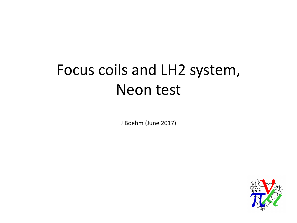### Focus coils and LH2 system, Neon test

J Boehm (June 2017)

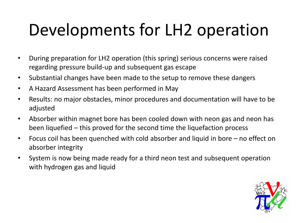# Developments for LH2 operation

- During preparation for LH2 operation (this spring) serious concerns were raised regarding pressure build-up and subsequent gas escape
- Substantial changes have been made to the setup to remove these dangers
- A Hazard Assessment has been performed in May
- Results: no major obstacles, minor procedures and documentation will have to be adjusted
- Absorber within magnet bore has been cooled down with neon gas and neon has been liquefied – this proved for the second time the liquefaction process
- Focus coil has been quenched with cold absorber and liquid in bore no effect on absorber integrity
- System is now being made ready for a third neon test and subsequent operation with hydrogen gas and liquid

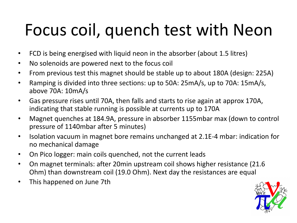# Focus coil, quench test with Neon

- FCD is being energised with liquid neon in the absorber (about 1.5 litres)
- No solenoids are powered next to the focus coil
- From previous test this magnet should be stable up to about 180A (design: 225A)
- Ramping is divided into three sections: up to 50A: 25mA/s, up to 70A: 15mA/s, above 70A: 10mA/s
- Gas pressure rises until 70A, then falls and starts to rise again at approx 170A, indicating that stable running is possible at currents up to 170A
- Magnet quenches at 184.9A, pressure in absorber 1155mbar max (down to control pressure of 1140mbar after 5 minutes)
- Isolation vacuum in magnet bore remains unchanged at 2.1E-4 mbar: indication for no mechanical damage
- On Pico logger: main coils quenched, not the current leads
- On magnet terminals: after 20min upstream coil shows higher resistance (21.6 Ohm) than downstream coil (19.0 Ohm). Next day the resistances are equal
- This happened on June 7th

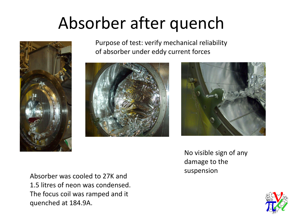## Absorber after quench



Purpose of test: verify mechanical reliability of absorber under eddy current forces





Absorber was cooled to 27K and 1.5 litres of neon was condensed. The focus coil was ramped and it quenched at 184.9A.

No visible sign of any damage to the suspension

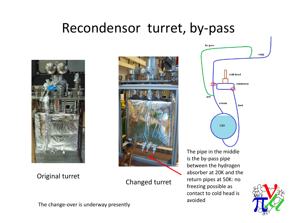#### Recondensor turret, by-pass



Original turret



Changed turret

avoided



The change-over is underway presently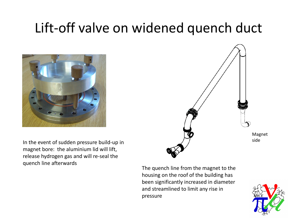#### Lift-off valve on widened quench duct





In the event of sudden pressure build-up in magnet bore: the aluminium lid will lift, release hydrogen gas and will re-seal the quench line afterwards

The quench line from the magnet to the housing on the roof of the building has been significantly increased in diameter and streamlined to limit any rise in pressure